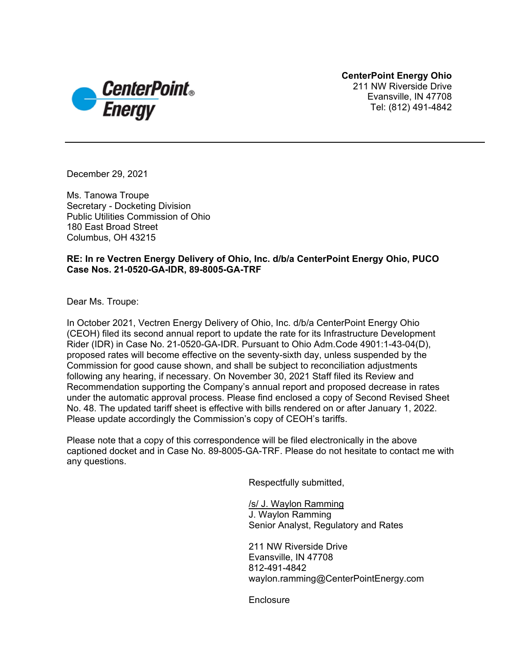**CenterPoint Energy Ohio**  211 NW Riverside Drive Evansville, IN 47708 Tel: (812) 491-4842



December 29, 2021

Ms. Tanowa Troupe Secretary - Docketing Division Public Utilities Commission of Ohio 180 East Broad Street Columbus, OH 43215

### **RE: In re Vectren Energy Delivery of Ohio, Inc. d/b/a CenterPoint Energy Ohio, PUCO Case Nos. 21-0520-GA-IDR, 89-8005-GA-TRF**

Dear Ms. Troupe:

In October 2021, Vectren Energy Delivery of Ohio, Inc. d/b/a CenterPoint Energy Ohio (CEOH) filed its second annual report to update the rate for its Infrastructure Development Rider (IDR) in Case No. 21-0520-GA-IDR. Pursuant to Ohio Adm.Code 4901:1-43-04(D), proposed rates will become effective on the seventy-sixth day, unless suspended by the Commission for good cause shown, and shall be subject to reconciliation adjustments following any hearing, if necessary. On November 30, 2021 Staff filed its Review and Recommendation supporting the Company's annual report and proposed decrease in rates under the automatic approval process. Please find enclosed a copy of Second Revised Sheet No. 48. The updated tariff sheet is effective with bills rendered on or after January 1, 2022. Please update accordingly the Commission's copy of CEOH's tariffs.

Please note that a copy of this correspondence will be filed electronically in the above captioned docket and in Case No. 89-8005-GA-TRF. Please do not hesitate to contact me with any questions.

Respectfully submitted,

/s/ J. Waylon Ramming J. Waylon Ramming Senior Analyst, Regulatory and Rates

211 NW Riverside Drive Evansville, IN 47708 812-491-4842 waylon.ramming@CenterPointEnergy.com

**Enclosure**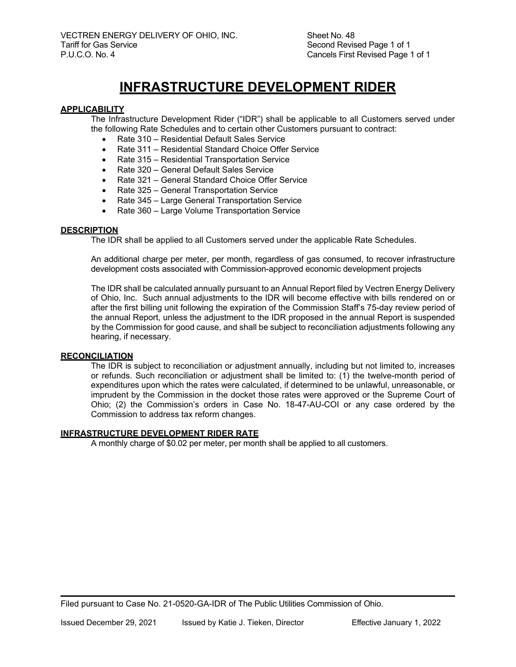Sheet No. 48 Second Revised Page 1 of 1 Cancels First Revised Page 1 of 1

# **INFRASTRUCTURE DEVELOPMENT RIDER**

#### **APPLICABILITY**

The Infrastructure Development Rider ("IDR") shall be applicable to all Customers served under the following Rate Schedules and to certain other Customers pursuant to contract:

- Rate 310 Residential Default Sales Service
- Rate 311 Residential Standard Choice Offer Service
- Rate 315 Residential Transportation Service
- Rate 320 General Default Sales Service
- Rate 321 General Standard Choice Offer Service
- Rate 325 General Transportation Service
- Rate 345 Large General Transportation Service
- Rate 360 Large Volume Transportation Service

#### **DESCRIPTION**

The IDR shall be applied to all Customers served under the applicable Rate Schedules.

An additional charge per meter, per month, regardless of gas consumed, to recover infrastructure development costs associated with Commission-approved economic development projects

The IDR shall be calculated annually pursuant to an Annual Report filed by Vectren Energy Delivery of Ohio, Inc. Such annual adjustments to the IDR will become effective with bills rendered on or after the first billing unit following the expiration of the Commission Staff's 75-day review period of the annual Report, unless the adjustment to the IDR proposed in the annual Report is suspended by the Commission for good cause, and shall be subject to reconciliation adjustments following any hearing, if necessary.

#### **RECONCILIATION**

The IDR is subject to reconciliation or adjustment annually, including but not limited to, increases or refunds. Such reconciliation or adjustment shall be limited to: (1) the twelve-month period of expenditures upon which the rates were calculated, if determined to be unlawful, unreasonable, or imprudent by the Commission in the docket those rates were approved or the Supreme Court of Ohio; (2) the Commission's orders in Case No. 18-47-AU-COI or any case ordered by the Commission to address tax reform changes.

#### **INFRASTRUCTURE DEVELOPMENT RIDER RATE**

A monthly charge of \$0.02 per meter, per month shall be applied to all customers.